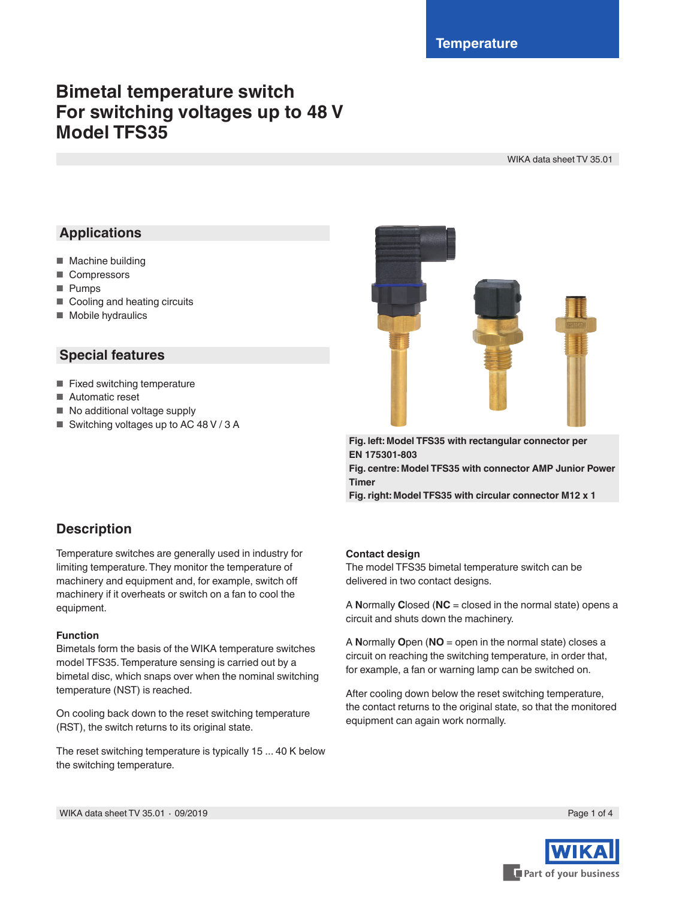# **Bimetal temperature switch For switching voltages up to 48 V Model TFS35**

WIKA data sheet TV 35.01

# **Applications**

- Machine building
- Compressors
- Pumps
- Cooling and heating circuits
- Mobile hydraulics

#### **Special features**

- Fixed switching temperature
- Automatic reset
- No additional voltage supply
- Switching voltages up to AC 48 V / 3 A



**Fig. left: Model TFS35 with rectangular connector per EN 175301-803 Fig. centre: Model TFS35 with connector AMP Junior Power Timer**

**Fig. right: Model TFS35 with circular connector M12 x 1**

# **Description**

Temperature switches are generally used in industry for limiting temperature. They monitor the temperature of machinery and equipment and, for example, switch off machinery if it overheats or switch on a fan to cool the equipment.

#### **Function**

Bimetals form the basis of the WIKA temperature switches model TFS35. Temperature sensing is carried out by a bimetal disc, which snaps over when the nominal switching temperature (NST) is reached.

On cooling back down to the reset switching temperature (RST), the switch returns to its original state.

The reset switching temperature is typically 15 ... 40 K below the switching temperature.

#### **Contact design**

The model TFS35 bimetal temperature switch can be delivered in two contact designs.

A **N**ormally **C**losed (**NC** = closed in the normal state) opens a circuit and shuts down the machinery.

A **N**ormally **O**pen (**NO** = open in the normal state) closes a circuit on reaching the switching temperature, in order that, for example, a fan or warning lamp can be switched on.

After cooling down below the reset switching temperature, the contact returns to the original state, so that the monitored equipment can again work normally.



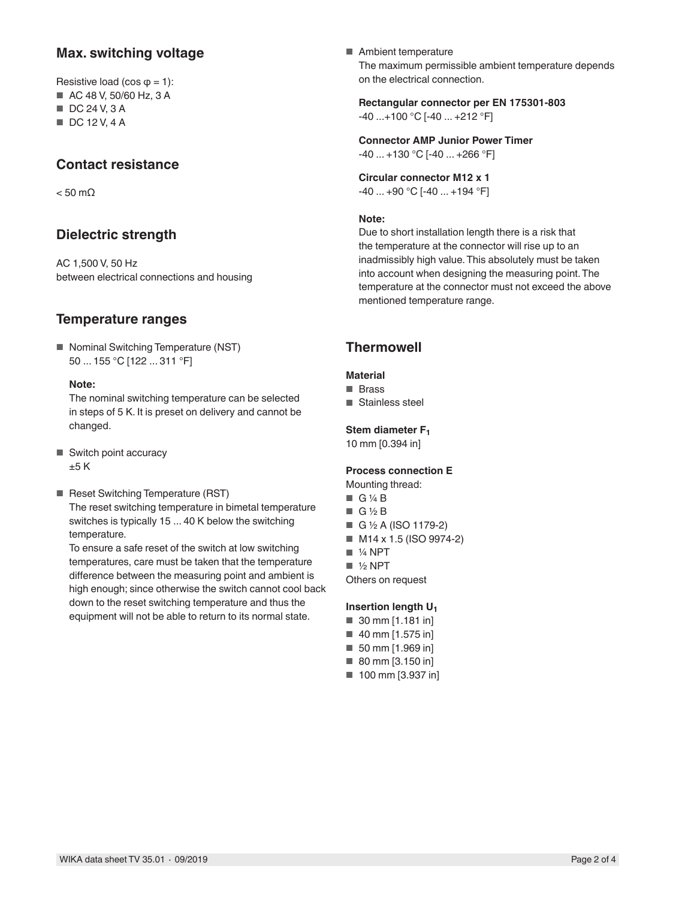### **Max. switching voltage**

Resistive load (cos  $\varphi$  = 1):

- AC 48 V, 50/60 Hz, 3 A
- DC 24 V, 3 A
- DC 12 V, 4 A

### **Contact resistance**

 $< 50$  mQ

# **Dielectric strength**

AC 1,500 V, 50 Hz between electrical connections and housing

# **Temperature ranges**

■ Nominal Switching Temperature (NST) 50 ... 155 °C [122 ... 311 °F]

#### **Note:**

The nominal switching temperature can be selected in steps of 5 K. It is preset on delivery and cannot be changed.

- Switch point accuracy  $±5 K$
- Reset Switching Temperature (RST) The reset switching temperature in bimetal temperature switches is typically 15 ... 40 K below the switching temperature.

To ensure a safe reset of the switch at low switching temperatures, care must be taken that the temperature difference between the measuring point and ambient is high enough; since otherwise the switch cannot cool back down to the reset switching temperature and thus the equipment will not be able to return to its normal state.

■ Ambient temperature The maximum permissible ambient temperature depends on the electrical connection.

**Rectangular connector per EN 175301-803** -40 ...+100 °C [-40 ... +212 °F]

**Connector AMP Junior Power Timer** -40 ... +130 °C [-40 ... +266 °F]

**Circular connector M12 x 1** -40 ... +90 °C [-40 ... +194 °F]

#### **Note:**

Due to short installation length there is a risk that the temperature at the connector will rise up to an inadmissibly high value. This absolutely must be taken into account when designing the measuring point. The temperature at the connector must not exceed the above mentioned temperature range.

# **Thermowell**

#### **Material**

- Brass
- Stainless steel

#### **Stem diameter F1**

10 mm [0.394 in]

#### **Process connection E**

- Mounting thread:
- G ¼ B
- G ½ B
- G ½ A (ISO 1179-2)
- M14 x 1.5 (ISO 9974-2)
- 1/4 NPT
- ½ NPT

Others on request

#### **Insertion length U1**

- 30 mm [1.181 in]
- 40 mm [1.575 in]
- 50 mm [1.969 in]
- 80 mm [3.150 in]
- 100 mm [3.937 in]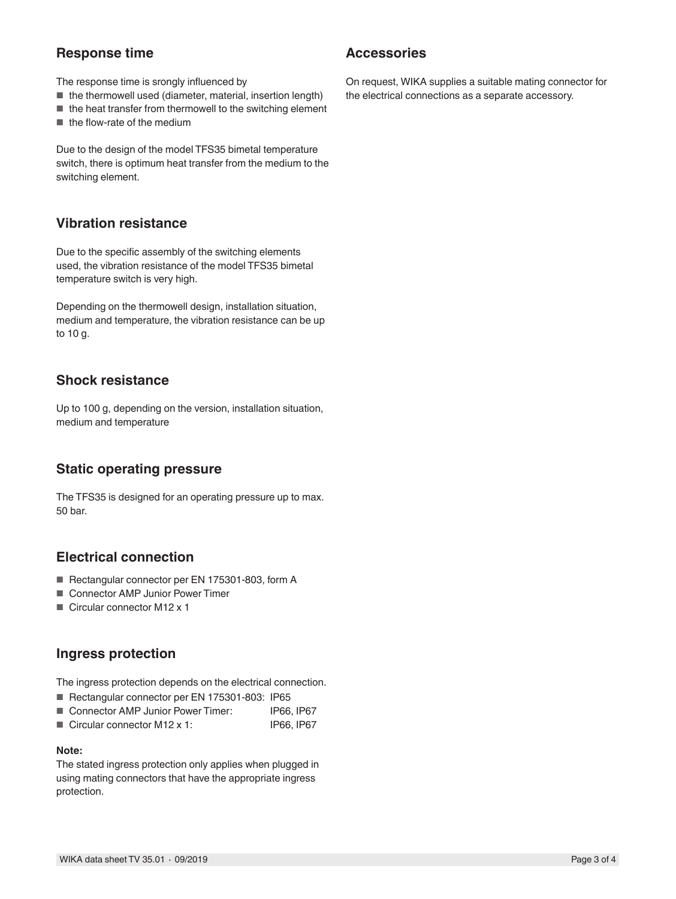# **Response time**

The response time is srongly influenced by

- the thermowell used (diameter, material, insertion length)
- $\blacksquare$  the heat transfer from thermowell to the switching element
- the flow-rate of the medium

Due to the design of the model TFS35 bimetal temperature switch, there is optimum heat transfer from the medium to the switching element.

#### **Vibration resistance**

Due to the specific assembly of the switching elements used, the vibration resistance of the model TFS35 bimetal temperature switch is very high.

Depending on the thermowell design, installation situation, medium and temperature, the vibration resistance can be up to 10 g.

#### **Shock resistance**

Up to 100 g, depending on the version, installation situation, medium and temperature

#### **Static operating pressure**

The TFS35 is designed for an operating pressure up to max. 50 bar.

# **Electrical connection**

- Rectangular connector per EN 175301-803, form A
- Connector AMP Junior Power Timer
- Circular connector M12 x 1

#### **Ingress protection**

The ingress protection depends on the electrical connection.

- Rectangular connector per EN 175301-803: IP65
- Connector AMP Junior Power Timer: IP66, IP67
- Circular connector M12 x 1: IP66, IP67

#### **Note:**

The stated ingress protection only applies when plugged in using mating connectors that have the appropriate ingress protection.

#### **Accessories**

On request, WIKA supplies a suitable mating connector for the electrical connections as a separate accessory.